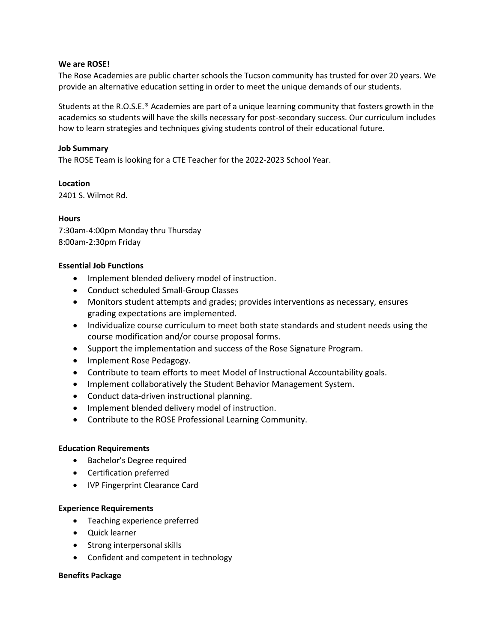### **We are ROSE!**

The Rose Academies are public charter schools the Tucson community has trusted for over 20 years. We provide an alternative education setting in order to meet the unique demands of our students.

Students at the R.O.S.E.® Academies are part of a unique learning community that fosters growth in the academics so students will have the skills necessary for post-secondary success. Our curriculum includes how to learn strategies and techniques giving students control of their educational future.

### **Job Summary**

The ROSE Team is looking for a CTE Teacher for the 2022-2023 School Year.

**Location** 2401 S. Wilmot Rd.

# **Hours**

7:30am-4:00pm Monday thru Thursday 8:00am-2:30pm Friday

### **Essential Job Functions**

- Implement blended delivery model of instruction.
- Conduct scheduled Small-Group Classes
- Monitors student attempts and grades; provides interventions as necessary, ensures grading expectations are implemented.
- Individualize course curriculum to meet both state standards and student needs using the course modification and/or course proposal forms.
- Support the implementation and success of the Rose Signature Program.
- Implement Rose Pedagogy.
- Contribute to team efforts to meet Model of Instructional Accountability goals.
- Implement collaboratively the Student Behavior Management System.
- Conduct data-driven instructional planning.
- Implement blended delivery model of instruction.
- Contribute to the ROSE Professional Learning Community.

### **Education Requirements**

- Bachelor's Degree required
- Certification preferred
- IVP Fingerprint Clearance Card

#### **Experience Requirements**

- Teaching experience preferred
- Quick learner
- Strong interpersonal skills
- Confident and competent in technology

# **Benefits Package**